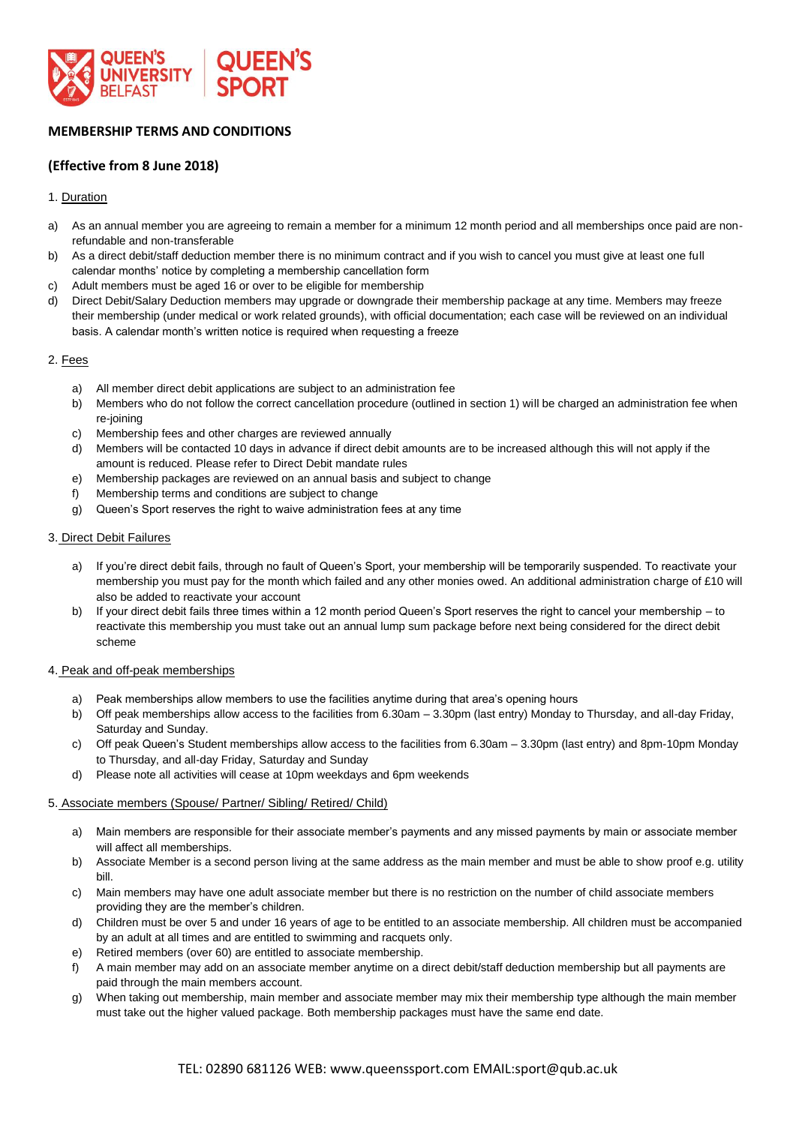

# **MEMBERSHIP TERMS AND CONDITIONS**

## **(Effective from 8 June 2018)**

## 1. Duration

- a) As an annual member you are agreeing to remain a member for a minimum 12 month period and all memberships once paid are nonrefundable and non-transferable
- b) As a direct debit/staff deduction member there is no minimum contract and if you wish to cancel you must give at least one full calendar months' notice by completing a membership cancellation form
- c) Adult members must be aged 16 or over to be eligible for membership
- d) Direct Debit/Salary Deduction members may upgrade or downgrade their membership package at any time. Members may freeze their membership (under medical or work related grounds), with official documentation; each case will be reviewed on an individual basis. A calendar month's written notice is required when requesting a freeze

## 2. Fees

- a) All member direct debit applications are subject to an administration fee
- b) Members who do not follow the correct cancellation procedure (outlined in section 1) will be charged an administration fee when re-joining
- c) Membership fees and other charges are reviewed annually
- d) Members will be contacted 10 days in advance if direct debit amounts are to be increased although this will not apply if the amount is reduced. Please refer to Direct Debit mandate rules
- e) Membership packages are reviewed on an annual basis and subject to change
- f) Membership terms and conditions are subject to change
- g) Queen's Sport reserves the right to waive administration fees at any time

#### 3. Direct Debit Failures

- a) If you're direct debit fails, through no fault of Queen's Sport, your membership will be temporarily suspended. To reactivate your membership you must pay for the month which failed and any other monies owed. An additional administration charge of £10 will also be added to reactivate your account
- b) If your direct debit fails three times within a 12 month period Queen's Sport reserves the right to cancel your membership to reactivate this membership you must take out an annual lump sum package before next being considered for the direct debit scheme

#### 4. Peak and off-peak memberships

- a) Peak memberships allow members to use the facilities anytime during that area's opening hours
- b) Off peak memberships allow access to the facilities from 6.30am 3.30pm (last entry) Monday to Thursday, and all-day Friday, Saturday and Sunday.
- c) Off peak Queen's Student memberships allow access to the facilities from 6.30am 3.30pm (last entry) and 8pm-10pm Monday to Thursday, and all-day Friday, Saturday and Sunday
- d) Please note all activities will cease at 10pm weekdays and 6pm weekends

#### 5. Associate members (Spouse/ Partner/ Sibling/ Retired/ Child)

- a) Main members are responsible for their associate member's payments and any missed payments by main or associate member will affect all memberships.
- b) Associate Member is a second person living at the same address as the main member and must be able to show proof e.g. utility bill.
- c) Main members may have one adult associate member but there is no restriction on the number of child associate members providing they are the member's children.
- d) Children must be over 5 and under 16 years of age to be entitled to an associate membership. All children must be accompanied by an adult at all times and are entitled to swimming and racquets only.
- e) Retired members (over 60) are entitled to associate membership.
- f) A main member may add on an associate member anytime on a direct debit/staff deduction membership but all payments are paid through the main members account.
- g) When taking out membership, main member and associate member may mix their membership type although the main member must take out the higher valued package. Both membership packages must have the same end date.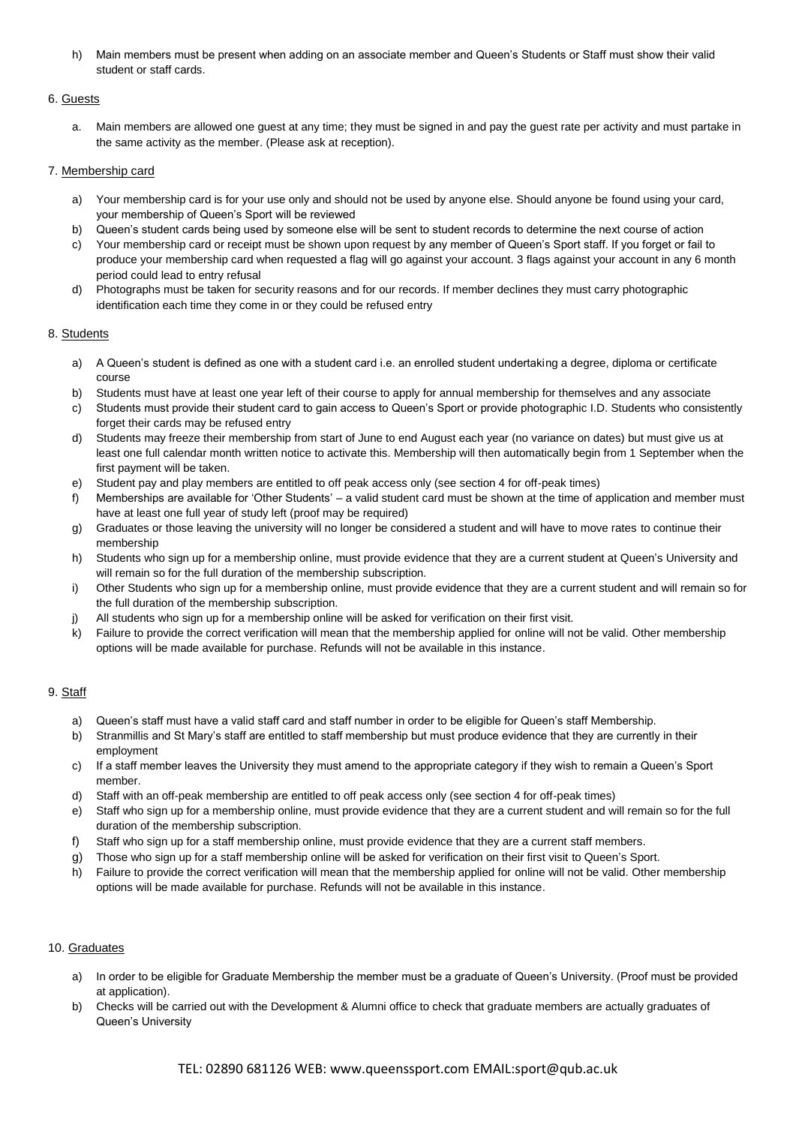h) Main members must be present when adding on an associate member and Queen's Students or Staff must show their valid student or staff cards.

## 6. Guests

a. Main members are allowed one guest at any time; they must be signed in and pay the guest rate per activity and must partake in the same activity as the member. (Please ask at reception).

## 7. Membership card

- a) Your membership card is for your use only and should not be used by anyone else. Should anyone be found using your card, your membership of Queen's Sport will be reviewed
- b) Queen's student cards being used by someone else will be sent to student records to determine the next course of action
- c) Your membership card or receipt must be shown upon request by any member of Queen's Sport staff. If you forget or fail to produce your membership card when requested a flag will go against your account. 3 flags against your account in any 6 month period could lead to entry refusal
- d) Photographs must be taken for security reasons and for our records. If member declines they must carry photographic identification each time they come in or they could be refused entry

## 8. Students

- a) A Queen's student is defined as one with a student card i.e. an enrolled student undertaking a degree, diploma or certificate course
- b) Students must have at least one year left of their course to apply for annual membership for themselves and any associate
- c) Students must provide their student card to gain access to Queen's Sport or provide photographic I.D. Students who consistently forget their cards may be refused entry
- d) Students may freeze their membership from start of June to end August each year (no variance on dates) but must give us at least one full calendar month written notice to activate this. Membership will then automatically begin from 1 September when the first payment will be taken.
- e) Student pay and play members are entitled to off peak access only (see section 4 for off-peak times)
- f) Memberships are available for 'Other Students' a valid student card must be shown at the time of application and member must have at least one full year of study left (proof may be required)
- g) Graduates or those leaving the university will no longer be considered a student and will have to move rates to continue their membership
- h) Students who sign up for a membership online, must provide evidence that they are a current student at Queen's University and will remain so for the full duration of the membership subscription.
- i) Other Students who sign up for a membership online, must provide evidence that they are a current student and will remain so for the full duration of the membership subscription.
- j) All students who sign up for a membership online will be asked for verification on their first visit.
- k) Failure to provide the correct verification will mean that the membership applied for online will not be valid. Other membership options will be made available for purchase. Refunds will not be available in this instance.

## 9. Staff

- a) Queen's staff must have a valid staff card and staff number in order to be eligible for Queen's staff Membership.
- b) Stranmillis and St Mary's staff are entitled to staff membership but must produce evidence that they are currently in their employment
- c) If a staff member leaves the University they must amend to the appropriate category if they wish to remain a Queen's Sport member.
- d) Staff with an off-peak membership are entitled to off peak access only (see section 4 for off-peak times)
- e) Staff who sign up for a membership online, must provide evidence that they are a current student and will remain so for the full duration of the membership subscription.
- f) Staff who sign up for a staff membership online, must provide evidence that they are a current staff members.
- g) Those who sign up for a staff membership online will be asked for verification on their first visit to Queen's Sport.
- h) Failure to provide the correct verification will mean that the membership applied for online will not be valid. Other membership options will be made available for purchase. Refunds will not be available in this instance.

#### 10. Graduates

- a) In order to be eligible for Graduate Membership the member must be a graduate of Queen's University. (Proof must be provided at application).
- b) Checks will be carried out with the Development & Alumni office to check that graduate members are actually graduates of Queen's University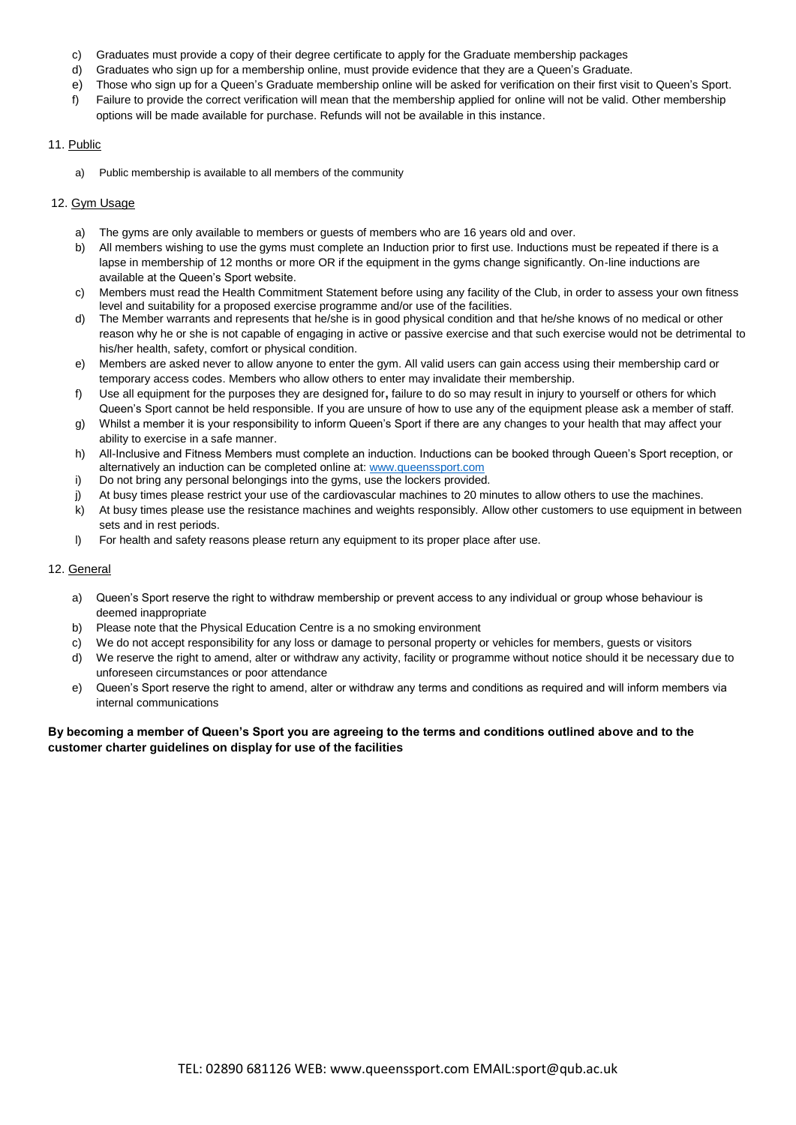- c) Graduates must provide a copy of their degree certificate to apply for the Graduate membership packages
- d) Graduates who sign up for a membership online, must provide evidence that they are a Queen's Graduate.
- e) Those who sign up for a Queen's Graduate membership online will be asked for verification on their first visit to Queen's Sport.
- f) Failure to provide the correct verification will mean that the membership applied for online will not be valid. Other membership options will be made available for purchase. Refunds will not be available in this instance.

## 11. Public

a) Public membership is available to all members of the community

## 12. Gym Usage

- a) The gyms are only available to members or guests of members who are 16 years old and over.
- b) All members wishing to use the gyms must complete an Induction prior to first use. Inductions must be repeated if there is a lapse in membership of 12 months or more OR if the equipment in the gyms change significantly. On-line inductions are available at the Queen's Sport website.
- c) Members must read the Health Commitment Statement before using any facility of the Club, in order to assess your own fitness level and suitability for a proposed exercise programme and/or use of the facilities.
- d) The Member warrants and represents that he/she is in good physical condition and that he/she knows of no medical or other reason why he or she is not capable of engaging in active or passive exercise and that such exercise would not be detrimental to his/her health, safety, comfort or physical condition.
- e) Members are asked never to allow anyone to enter the gym. All valid users can gain access using their membership card or temporary access codes. Members who allow others to enter may invalidate their membership.
- f) Use all equipment for the purposes they are designed for**,** failure to do so may result in injury to yourself or others for which Queen's Sport cannot be held responsible. If you are unsure of how to use any of the equipment please ask a member of staff.
- g) Whilst a member it is your responsibility to inform Queen's Sport if there are any changes to your health that may affect your ability to exercise in a safe manner.
- h) All-Inclusive and Fitness Members must complete an induction. Inductions can be booked through Queen's Sport reception, or alternatively an induction can be completed online at[: www.queenssport.com](http://www.queenssport.com/)
- i) Do not bring any personal belongings into the gyms, use the lockers provided.
- j) At busy times please restrict your use of the cardiovascular machines to 20 minutes to allow others to use the machines.
- k) At busy times please use the resistance machines and weights responsibly. Allow other customers to use equipment in between sets and in rest periods.
- l) For health and safety reasons please return any equipment to its proper place after use.

#### 12. General

- a) Queen's Sport reserve the right to withdraw membership or prevent access to any individual or group whose behaviour is deemed inappropriate
- b) Please note that the Physical Education Centre is a no smoking environment
- c) We do not accept responsibility for any loss or damage to personal property or vehicles for members, guests or visitors
- d) We reserve the right to amend, alter or withdraw any activity, facility or programme without notice should it be necessary due to unforeseen circumstances or poor attendance
- e) Queen's Sport reserve the right to amend, alter or withdraw any terms and conditions as required and will inform members via internal communications

## **By becoming a member of Queen's Sport you are agreeing to the terms and conditions outlined above and to the customer charter guidelines on display for use of the facilities**